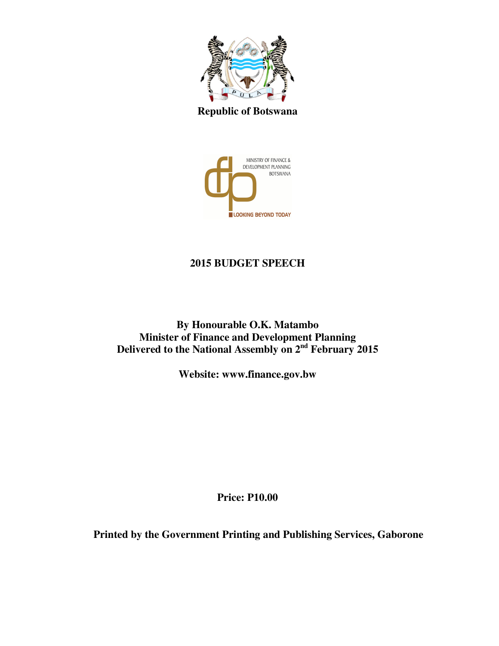

**Republic of Botswana** 



# **2015 BUDGET SPEECH**

**By Honourable O.K. Matambo Minister of Finance and Development Planning Delivered to the National Assembly on 2nd February 2015** 

**Website: www.finance.gov.bw** 

**Price: P10.00** 

**Printed by the Government Printing and Publishing Services, Gaborone**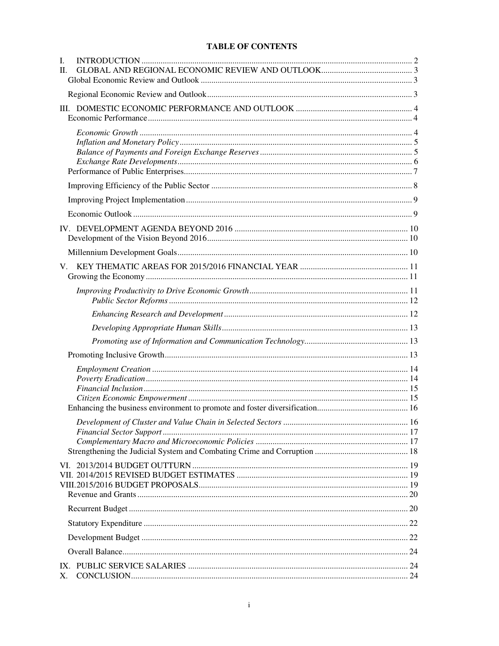#### **TABLE OF CONTENTS**

| I.<br>H. |  |  |
|----------|--|--|
|          |  |  |
|          |  |  |
|          |  |  |
|          |  |  |
|          |  |  |
|          |  |  |
|          |  |  |
|          |  |  |
|          |  |  |
|          |  |  |
|          |  |  |
|          |  |  |
|          |  |  |
|          |  |  |
|          |  |  |
|          |  |  |
|          |  |  |
|          |  |  |
|          |  |  |
|          |  |  |
|          |  |  |
| X.       |  |  |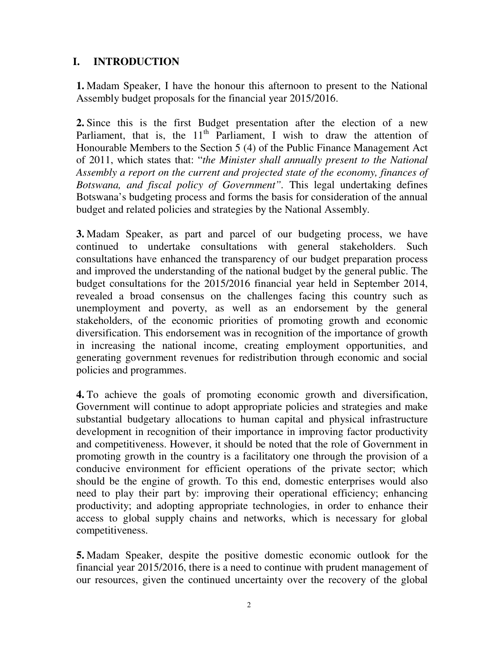## **I. INTRODUCTION**

**1.** Madam Speaker, I have the honour this afternoon to present to the National Assembly budget proposals for the financial year 2015/2016.

**2.** Since this is the first Budget presentation after the election of a new Parliament, that is, the  $11<sup>th</sup>$  Parliament, I wish to draw the attention of Honourable Members to the Section 5 (4) of the Public Finance Management Act of 2011, which states that: "*the Minister shall annually present to the National Assembly a report on the current and projected state of the economy, finances of Botswana, and fiscal policy of Government".* This legal undertaking defines Botswana's budgeting process and forms the basis for consideration of the annual budget and related policies and strategies by the National Assembly.

**3.** Madam Speaker, as part and parcel of our budgeting process, we have continued to undertake consultations with general stakeholders. Such consultations have enhanced the transparency of our budget preparation process and improved the understanding of the national budget by the general public. The budget consultations for the 2015/2016 financial year held in September 2014, revealed a broad consensus on the challenges facing this country such as unemployment and poverty, as well as an endorsement by the general stakeholders, of the economic priorities of promoting growth and economic diversification. This endorsement was in recognition of the importance of growth in increasing the national income, creating employment opportunities, and generating government revenues for redistribution through economic and social policies and programmes.

**4.** To achieve the goals of promoting economic growth and diversification, Government will continue to adopt appropriate policies and strategies and make substantial budgetary allocations to human capital and physical infrastructure development in recognition of their importance in improving factor productivity and competitiveness. However, it should be noted that the role of Government in promoting growth in the country is a facilitatory one through the provision of a conducive environment for efficient operations of the private sector; which should be the engine of growth. To this end, domestic enterprises would also need to play their part by: improving their operational efficiency; enhancing productivity; and adopting appropriate technologies, in order to enhance their access to global supply chains and networks, which is necessary for global competitiveness.

**5.** Madam Speaker, despite the positive domestic economic outlook for the financial year 2015/2016, there is a need to continue with prudent management of our resources, given the continued uncertainty over the recovery of the global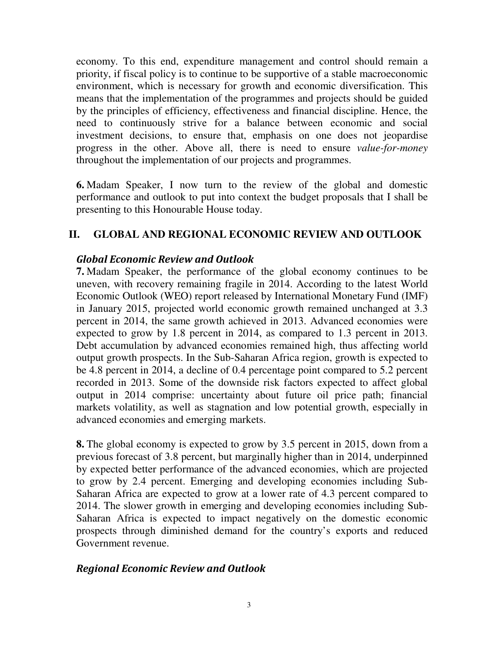economy. To this end, expenditure management and control should remain a priority, if fiscal policy is to continue to be supportive of a stable macroeconomic environment, which is necessary for growth and economic diversification. This means that the implementation of the programmes and projects should be guided by the principles of efficiency, effectiveness and financial discipline. Hence, the need to continuously strive for a balance between economic and social investment decisions, to ensure that, emphasis on one does not jeopardise progress in the other. Above all, there is need to ensure *value-for-money* throughout the implementation of our projects and programmes.

**6.** Madam Speaker, I now turn to the review of the global and domestic performance and outlook to put into context the budget proposals that I shall be presenting to this Honourable House today.

### **II. GLOBAL AND REGIONAL ECONOMIC REVIEW AND OUTLOOK**

#### Global Economic Review and Outlook

**7.** Madam Speaker, the performance of the global economy continues to be uneven, with recovery remaining fragile in 2014. According to the latest World Economic Outlook (WEO) report released by International Monetary Fund (IMF) in January 2015, projected world economic growth remained unchanged at 3.3 percent in 2014, the same growth achieved in 2013. Advanced economies were expected to grow by 1.8 percent in 2014, as compared to 1.3 percent in 2013. Debt accumulation by advanced economies remained high, thus affecting world output growth prospects. In the Sub-Saharan Africa region, growth is expected to be 4.8 percent in 2014, a decline of 0.4 percentage point compared to 5.2 percent recorded in 2013. Some of the downside risk factors expected to affect global output in 2014 comprise: uncertainty about future oil price path; financial markets volatility, as well as stagnation and low potential growth, especially in advanced economies and emerging markets.

**8.** The global economy is expected to grow by 3.5 percent in 2015, down from a previous forecast of 3.8 percent, but marginally higher than in 2014, underpinned by expected better performance of the advanced economies, which are projected to grow by 2.4 percent. Emerging and developing economies including Sub-Saharan Africa are expected to grow at a lower rate of 4.3 percent compared to 2014. The slower growth in emerging and developing economies including Sub-Saharan Africa is expected to impact negatively on the domestic economic prospects through diminished demand for the country's exports and reduced Government revenue.

#### Regional Economic Review and Outlook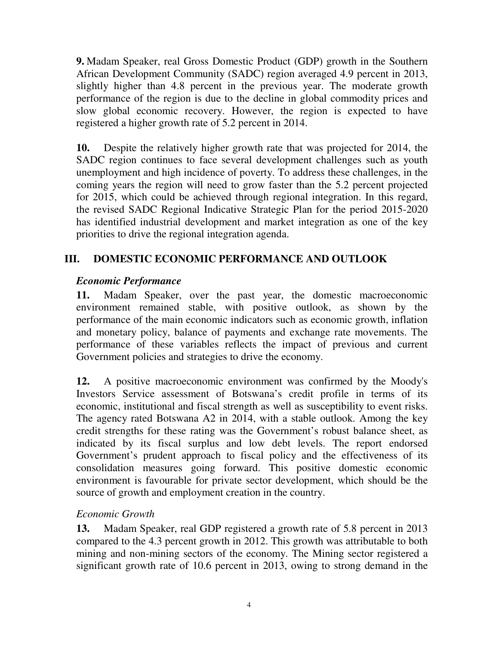**9.** Madam Speaker, real Gross Domestic Product (GDP) growth in the Southern African Development Community (SADC) region averaged 4.9 percent in 2013, slightly higher than 4.8 percent in the previous year. The moderate growth performance of the region is due to the decline in global commodity prices and slow global economic recovery. However, the region is expected to have registered a higher growth rate of 5.2 percent in 2014.

**10.** Despite the relatively higher growth rate that was projected for 2014, the SADC region continues to face several development challenges such as youth unemployment and high incidence of poverty. To address these challenges, in the coming years the region will need to grow faster than the 5.2 percent projected for 2015, which could be achieved through regional integration. In this regard, the revised SADC Regional Indicative Strategic Plan for the period 2015-2020 has identified industrial development and market integration as one of the key priorities to drive the regional integration agenda.

# **III. DOMESTIC ECONOMIC PERFORMANCE AND OUTLOOK**

### *Economic Performance*

**11.** Madam Speaker, over the past year, the domestic macroeconomic environment remained stable, with positive outlook, as shown by the performance of the main economic indicators such as economic growth, inflation and monetary policy, balance of payments and exchange rate movements. The performance of these variables reflects the impact of previous and current Government policies and strategies to drive the economy.

**12.** A positive macroeconomic environment was confirmed by the Moody's Investors Service assessment of Botswana's credit profile in terms of its economic, institutional and fiscal strength as well as susceptibility to event risks. The agency rated Botswana A2 in 2014, with a stable outlook. Among the key credit strengths for these rating was the Government's robust balance sheet, as indicated by its fiscal surplus and low debt levels. The report endorsed Government's prudent approach to fiscal policy and the effectiveness of its consolidation measures going forward. This positive domestic economic environment is favourable for private sector development, which should be the source of growth and employment creation in the country.

## *Economic Growth*

**13.** Madam Speaker, real GDP registered a growth rate of 5.8 percent in 2013 compared to the 4.3 percent growth in 2012. This growth was attributable to both mining and non-mining sectors of the economy. The Mining sector registered a significant growth rate of 10.6 percent in 2013, owing to strong demand in the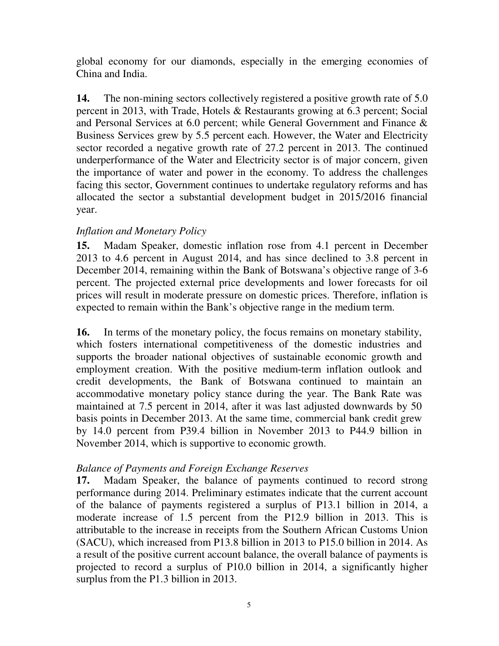global economy for our diamonds, especially in the emerging economies of China and India.

**14.** The non-mining sectors collectively registered a positive growth rate of 5.0 percent in 2013, with Trade, Hotels & Restaurants growing at 6.3 percent; Social and Personal Services at 6.0 percent; while General Government and Finance & Business Services grew by 5.5 percent each. However, the Water and Electricity sector recorded a negative growth rate of 27.2 percent in 2013. The continued underperformance of the Water and Electricity sector is of major concern, given the importance of water and power in the economy. To address the challenges facing this sector, Government continues to undertake regulatory reforms and has allocated the sector a substantial development budget in 2015/2016 financial year.

### *Inflation and Monetary Policy*

**15.** Madam Speaker, domestic inflation rose from 4.1 percent in December 2013 to 4.6 percent in August 2014, and has since declined to 3.8 percent in December 2014, remaining within the Bank of Botswana's objective range of 3-6 percent. The projected external price developments and lower forecasts for oil prices will result in moderate pressure on domestic prices. Therefore, inflation is expected to remain within the Bank's objective range in the medium term.

**16.** In terms of the monetary policy, the focus remains on monetary stability, which fosters international competitiveness of the domestic industries and supports the broader national objectives of sustainable economic growth and employment creation. With the positive medium-term inflation outlook and credit developments, the Bank of Botswana continued to maintain an accommodative monetary policy stance during the year. The Bank Rate was maintained at 7.5 percent in 2014, after it was last adjusted downwards by 50 basis points in December 2013. At the same time, commercial bank credit grew by 14.0 percent from P39.4 billion in November 2013 to P44.9 billion in November 2014, which is supportive to economic growth.

#### *Balance of Payments and Foreign Exchange Reserves*

**17.** Madam Speaker, the balance of payments continued to record strong performance during 2014. Preliminary estimates indicate that the current account of the balance of payments registered a surplus of P13.1 billion in 2014, a moderate increase of 1.5 percent from the P12.9 billion in 2013. This is attributable to the increase in receipts from the Southern African Customs Union (SACU), which increased from P13.8 billion in 2013 to P15.0 billion in 2014. As a result of the positive current account balance, the overall balance of payments is projected to record a surplus of P10.0 billion in 2014, a significantly higher surplus from the P1.3 billion in 2013.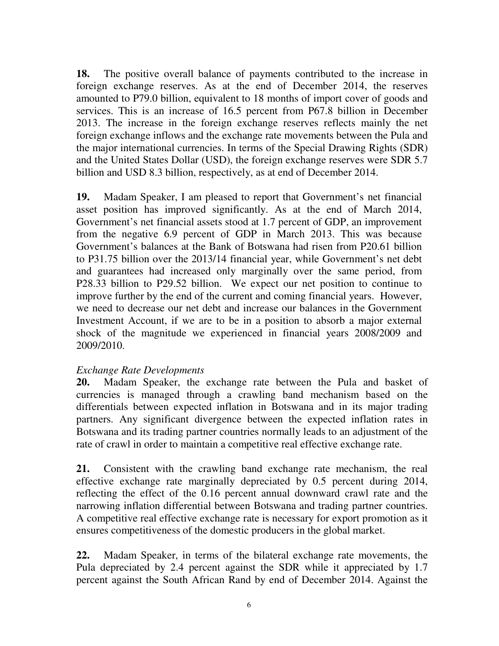**18.** The positive overall balance of payments contributed to the increase in foreign exchange reserves. As at the end of December 2014, the reserves amounted to P79.0 billion, equivalent to 18 months of import cover of goods and services. This is an increase of 16.5 percent from P67.8 billion in December 2013. The increase in the foreign exchange reserves reflects mainly the net foreign exchange inflows and the exchange rate movements between the Pula and the major international currencies. In terms of the Special Drawing Rights (SDR) and the United States Dollar (USD), the foreign exchange reserves were SDR 5.7 billion and USD 8.3 billion, respectively, as at end of December 2014.

**19.** Madam Speaker, I am pleased to report that Government's net financial asset position has improved significantly. As at the end of March 2014, Government's net financial assets stood at 1.7 percent of GDP, an improvement from the negative 6.9 percent of GDP in March 2013. This was because Government's balances at the Bank of Botswana had risen from P20.61 billion to P31.75 billion over the 2013/14 financial year, while Government's net debt and guarantees had increased only marginally over the same period, from P28.33 billion to P29.52 billion. We expect our net position to continue to improve further by the end of the current and coming financial years. However, we need to decrease our net debt and increase our balances in the Government Investment Account, if we are to be in a position to absorb a major external shock of the magnitude we experienced in financial years 2008/2009 and 2009/2010.

#### *Exchange Rate Developments*

**20.** Madam Speaker, the exchange rate between the Pula and basket of currencies is managed through a crawling band mechanism based on the differentials between expected inflation in Botswana and in its major trading partners. Any significant divergence between the expected inflation rates in Botswana and its trading partner countries normally leads to an adjustment of the rate of crawl in order to maintain a competitive real effective exchange rate.

**21.** Consistent with the crawling band exchange rate mechanism, the real effective exchange rate marginally depreciated by 0.5 percent during 2014, reflecting the effect of the 0.16 percent annual downward crawl rate and the narrowing inflation differential between Botswana and trading partner countries. A competitive real effective exchange rate is necessary for export promotion as it ensures competitiveness of the domestic producers in the global market.

**22.** Madam Speaker, in terms of the bilateral exchange rate movements, the Pula depreciated by 2.4 percent against the SDR while it appreciated by 1.7 percent against the South African Rand by end of December 2014. Against the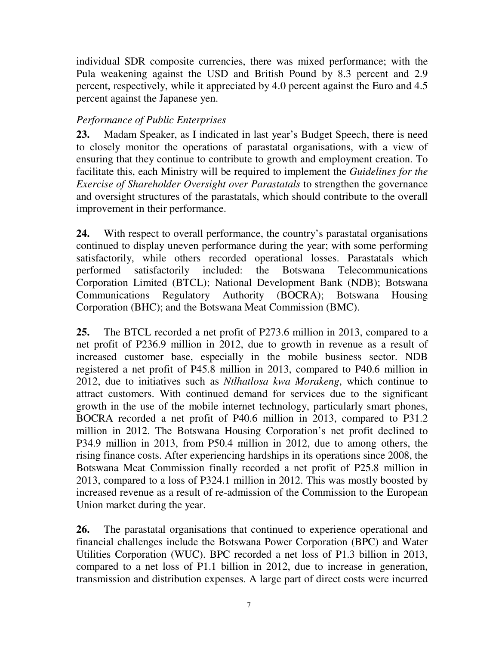individual SDR composite currencies, there was mixed performance; with the Pula weakening against the USD and British Pound by 8.3 percent and 2.9 percent, respectively, while it appreciated by 4.0 percent against the Euro and 4.5 percent against the Japanese yen.

## *Performance of Public Enterprises*

**23.** Madam Speaker, as I indicated in last year's Budget Speech, there is need to closely monitor the operations of parastatal organisations, with a view of ensuring that they continue to contribute to growth and employment creation. To facilitate this, each Ministry will be required to implement the *Guidelines for the Exercise of Shareholder Oversight over Parastatals* to strengthen the governance and oversight structures of the parastatals, which should contribute to the overall improvement in their performance.

**24.** With respect to overall performance, the country's parastatal organisations continued to display uneven performance during the year; with some performing satisfactorily, while others recorded operational losses. Parastatals which performed satisfactorily included: the Botswana Telecommunications Corporation Limited (BTCL); National Development Bank (NDB); Botswana Communications Regulatory Authority (BOCRA); Botswana Housing Corporation (BHC); and the Botswana Meat Commission (BMC).

**25.** The BTCL recorded a net profit of P273.6 million in 2013, compared to a net profit of P236.9 million in 2012, due to growth in revenue as a result of increased customer base, especially in the mobile business sector. NDB registered a net profit of P45.8 million in 2013, compared to P40.6 million in 2012, due to initiatives such as *Ntlhatlosa kwa Morakeng*, which continue to attract customers. With continued demand for services due to the significant growth in the use of the mobile internet technology, particularly smart phones, BOCRA recorded a net profit of P40.6 million in 2013, compared to P31.2 million in 2012. The Botswana Housing Corporation's net profit declined to P34.9 million in 2013, from P50.4 million in 2012, due to among others, the rising finance costs. After experiencing hardships in its operations since 2008, the Botswana Meat Commission finally recorded a net profit of P25.8 million in 2013, compared to a loss of P324.1 million in 2012. This was mostly boosted by increased revenue as a result of re-admission of the Commission to the European Union market during the year.

**26.** The parastatal organisations that continued to experience operational and financial challenges include the Botswana Power Corporation (BPC) and Water Utilities Corporation (WUC). BPC recorded a net loss of P1.3 billion in 2013, compared to a net loss of P1.1 billion in 2012, due to increase in generation, transmission and distribution expenses. A large part of direct costs were incurred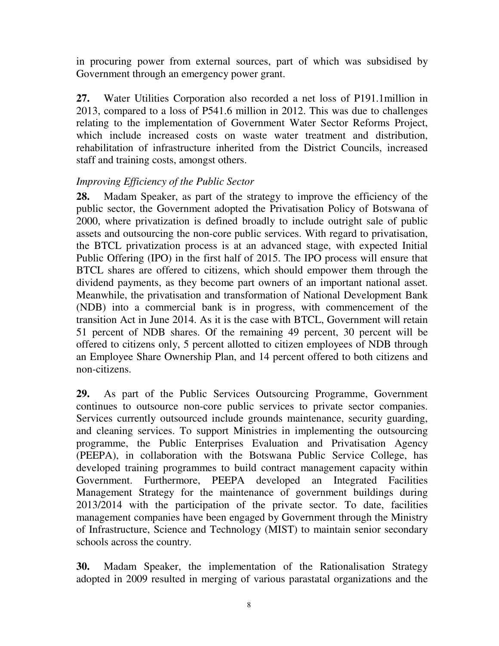in procuring power from external sources, part of which was subsidised by Government through an emergency power grant.

**27.** Water Utilities Corporation also recorded a net loss of P191.1million in 2013, compared to a loss of P541.6 million in 2012. This was due to challenges relating to the implementation of Government Water Sector Reforms Project, which include increased costs on waste water treatment and distribution, rehabilitation of infrastructure inherited from the District Councils, increased staff and training costs, amongst others.

#### *Improving Efficiency of the Public Sector*

**28.** Madam Speaker, as part of the strategy to improve the efficiency of the public sector, the Government adopted the Privatisation Policy of Botswana of 2000, where privatization is defined broadly to include outright sale of public assets and outsourcing the non-core public services. With regard to privatisation, the BTCL privatization process is at an advanced stage, with expected Initial Public Offering (IPO) in the first half of 2015. The IPO process will ensure that BTCL shares are offered to citizens, which should empower them through the dividend payments, as they become part owners of an important national asset. Meanwhile, the privatisation and transformation of National Development Bank (NDB) into a commercial bank is in progress, with commencement of the transition Act in June 2014. As it is the case with BTCL, Government will retain 51 percent of NDB shares. Of the remaining 49 percent, 30 percent will be offered to citizens only, 5 percent allotted to citizen employees of NDB through an Employee Share Ownership Plan, and 14 percent offered to both citizens and non-citizens.

**29.** As part of the Public Services Outsourcing Programme, Government continues to outsource non-core public services to private sector companies. Services currently outsourced include grounds maintenance, security guarding, and cleaning services. To support Ministries in implementing the outsourcing programme, the Public Enterprises Evaluation and Privatisation Agency (PEEPA), in collaboration with the Botswana Public Service College, has developed training programmes to build contract management capacity within Government. Furthermore, PEEPA developed an Integrated Facilities Management Strategy for the maintenance of government buildings during 2013/2014 with the participation of the private sector. To date, facilities management companies have been engaged by Government through the Ministry of Infrastructure, Science and Technology (MIST) to maintain senior secondary schools across the country.

**30.** Madam Speaker, the implementation of the Rationalisation Strategy adopted in 2009 resulted in merging of various parastatal organizations and the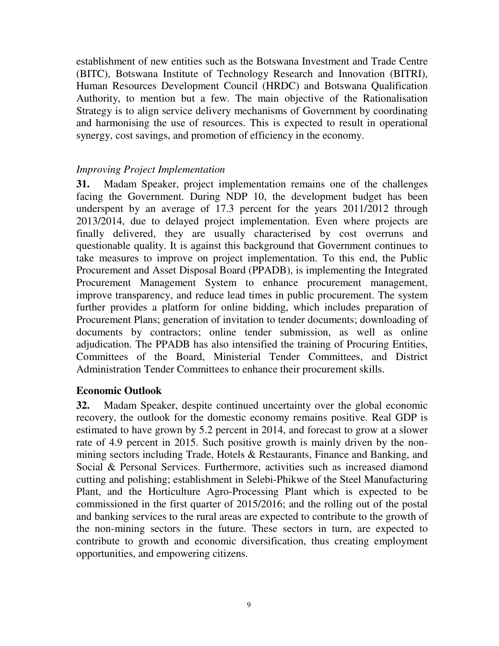establishment of new entities such as the Botswana Investment and Trade Centre (BITC), Botswana Institute of Technology Research and Innovation (BITRI), Human Resources Development Council (HRDC) and Botswana Qualification Authority, to mention but a few. The main objective of the Rationalisation Strategy is to align service delivery mechanisms of Government by coordinating and harmonising the use of resources. This is expected to result in operational synergy, cost savings, and promotion of efficiency in the economy.

#### *Improving Project Implementation*

**31.** Madam Speaker, project implementation remains one of the challenges facing the Government. During NDP 10, the development budget has been underspent by an average of 17.3 percent for the years 2011/2012 through 2013/2014, due to delayed project implementation. Even where projects are finally delivered, they are usually characterised by cost overruns and questionable quality. It is against this background that Government continues to take measures to improve on project implementation. To this end, the Public Procurement and Asset Disposal Board (PPADB), is implementing the Integrated Procurement Management System to enhance procurement management, improve transparency, and reduce lead times in public procurement. The system further provides a platform for online bidding, which includes preparation of Procurement Plans; generation of invitation to tender documents; downloading of documents by contractors; online tender submission, as well as online adjudication. The PPADB has also intensified the training of Procuring Entities, Committees of the Board, Ministerial Tender Committees, and District Administration Tender Committees to enhance their procurement skills.

#### **Economic Outlook**

**32.** Madam Speaker, despite continued uncertainty over the global economic recovery, the outlook for the domestic economy remains positive. Real GDP is estimated to have grown by 5.2 percent in 2014, and forecast to grow at a slower rate of 4.9 percent in 2015. Such positive growth is mainly driven by the nonmining sectors including Trade, Hotels & Restaurants, Finance and Banking, and Social & Personal Services. Furthermore, activities such as increased diamond cutting and polishing; establishment in Selebi-Phikwe of the Steel Manufacturing Plant, and the Horticulture Agro-Processing Plant which is expected to be commissioned in the first quarter of 2015/2016; and the rolling out of the postal and banking services to the rural areas are expected to contribute to the growth of the non-mining sectors in the future. These sectors in turn, are expected to contribute to growth and economic diversification, thus creating employment opportunities, and empowering citizens.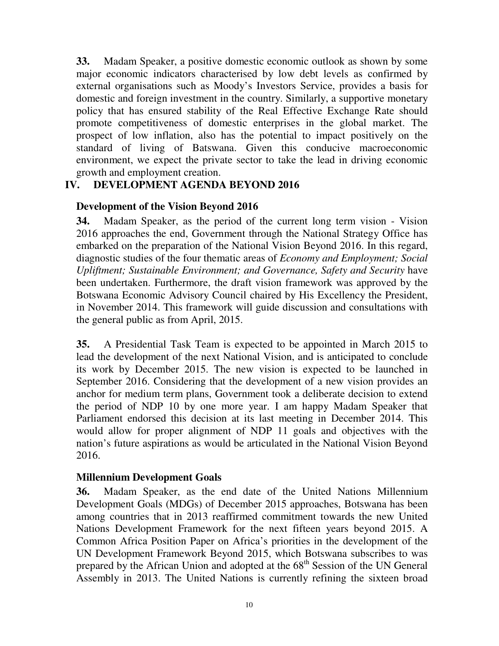**33.** Madam Speaker, a positive domestic economic outlook as shown by some major economic indicators characterised by low debt levels as confirmed by external organisations such as Moody's Investors Service, provides a basis for domestic and foreign investment in the country. Similarly, a supportive monetary policy that has ensured stability of the Real Effective Exchange Rate should promote competitiveness of domestic enterprises in the global market. The prospect of low inflation, also has the potential to impact positively on the standard of living of Batswana. Given this conducive macroeconomic environment, we expect the private sector to take the lead in driving economic growth and employment creation.

### **IV. DEVELOPMENT AGENDA BEYOND 2016**

### **Development of the Vision Beyond 2016**

**34.** Madam Speaker, as the period of the current long term vision - Vision 2016 approaches the end, Government through the National Strategy Office has embarked on the preparation of the National Vision Beyond 2016. In this regard, diagnostic studies of the four thematic areas of *Economy and Employment; Social Upliftment; Sustainable Environment; and Governance, Safety and Security* have been undertaken. Furthermore, the draft vision framework was approved by the Botswana Economic Advisory Council chaired by His Excellency the President, in November 2014. This framework will guide discussion and consultations with the general public as from April, 2015.

**35.** A Presidential Task Team is expected to be appointed in March 2015 to lead the development of the next National Vision, and is anticipated to conclude its work by December 2015. The new vision is expected to be launched in September 2016. Considering that the development of a new vision provides an anchor for medium term plans, Government took a deliberate decision to extend the period of NDP 10 by one more year. I am happy Madam Speaker that Parliament endorsed this decision at its last meeting in December 2014. This would allow for proper alignment of NDP 11 goals and objectives with the nation's future aspirations as would be articulated in the National Vision Beyond 2016.

#### **Millennium Development Goals**

**36.** Madam Speaker, as the end date of the United Nations Millennium Development Goals (MDGs) of December 2015 approaches, Botswana has been among countries that in 2013 reaffirmed commitment towards the new United Nations Development Framework for the next fifteen years beyond 2015. A Common Africa Position Paper on Africa's priorities in the development of the UN Development Framework Beyond 2015, which Botswana subscribes to was prepared by the African Union and adopted at the 68<sup>th</sup> Session of the UN General Assembly in 2013. The United Nations is currently refining the sixteen broad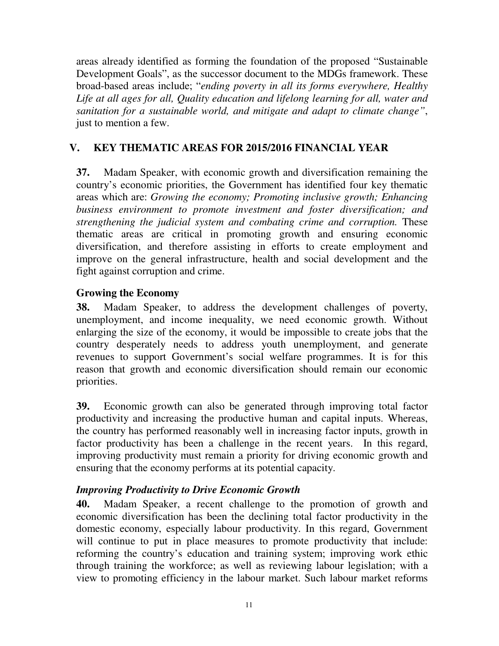areas already identified as forming the foundation of the proposed "Sustainable Development Goals", as the successor document to the MDGs framework. These broad-based areas include; "*ending poverty in all its forms everywhere, Healthy Life at all ages for all, Quality education and lifelong learning for all, water and sanitation for a sustainable world, and mitigate and adapt to climate change"*, just to mention a few.

# **V. KEY THEMATIC AREAS FOR 2015/2016 FINANCIAL YEAR**

**37.** Madam Speaker, with economic growth and diversification remaining the country's economic priorities, the Government has identified four key thematic areas which are: *Growing the economy; Promoting inclusive growth; Enhancing business environment to promote investment and foster diversification; and strengthening the judicial system and combating crime and corruption.* These thematic areas are critical in promoting growth and ensuring economic diversification, and therefore assisting in efforts to create employment and improve on the general infrastructure, health and social development and the fight against corruption and crime.

#### **Growing the Economy**

**38.** Madam Speaker, to address the development challenges of poverty, unemployment, and income inequality, we need economic growth. Without enlarging the size of the economy, it would be impossible to create jobs that the country desperately needs to address youth unemployment, and generate revenues to support Government's social welfare programmes. It is for this reason that growth and economic diversification should remain our economic priorities.

**39.** Economic growth can also be generated through improving total factor productivity and increasing the productive human and capital inputs. Whereas, the country has performed reasonably well in increasing factor inputs, growth in factor productivity has been a challenge in the recent years. In this regard, improving productivity must remain a priority for driving economic growth and ensuring that the economy performs at its potential capacity.

#### *Improving Productivity to Drive Economic Growth*

**40.** Madam Speaker, a recent challenge to the promotion of growth and economic diversification has been the declining total factor productivity in the domestic economy, especially labour productivity. In this regard, Government will continue to put in place measures to promote productivity that include: reforming the country's education and training system; improving work ethic through training the workforce; as well as reviewing labour legislation; with a view to promoting efficiency in the labour market. Such labour market reforms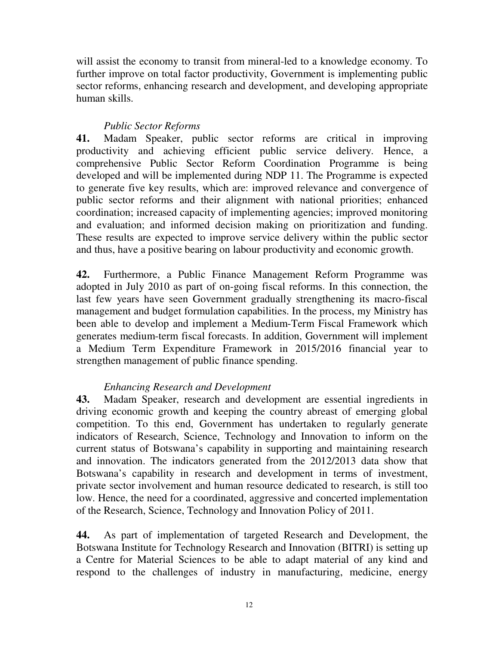will assist the economy to transit from mineral-led to a knowledge economy. To further improve on total factor productivity, Government is implementing public sector reforms, enhancing research and development, and developing appropriate human skills.

# *Public Sector Reforms*

**41.** Madam Speaker, public sector reforms are critical in improving productivity and achieving efficient public service delivery. Hence, a comprehensive Public Sector Reform Coordination Programme is being developed and will be implemented during NDP 11. The Programme is expected to generate five key results, which are: improved relevance and convergence of public sector reforms and their alignment with national priorities; enhanced coordination; increased capacity of implementing agencies; improved monitoring and evaluation; and informed decision making on prioritization and funding. These results are expected to improve service delivery within the public sector and thus, have a positive bearing on labour productivity and economic growth.

**42.** Furthermore, a Public Finance Management Reform Programme was adopted in July 2010 as part of on-going fiscal reforms. In this connection, the last few years have seen Government gradually strengthening its macro-fiscal management and budget formulation capabilities. In the process, my Ministry has been able to develop and implement a Medium-Term Fiscal Framework which generates medium-term fiscal forecasts. In addition, Government will implement a Medium Term Expenditure Framework in 2015/2016 financial year to strengthen management of public finance spending.

## *Enhancing Research and Development*

**43.** Madam Speaker, research and development are essential ingredients in driving economic growth and keeping the country abreast of emerging global competition. To this end, Government has undertaken to regularly generate indicators of Research, Science, Technology and Innovation to inform on the current status of Botswana's capability in supporting and maintaining research and innovation. The indicators generated from the 2012/2013 data show that Botswana's capability in research and development in terms of investment, private sector involvement and human resource dedicated to research, is still too low. Hence, the need for a coordinated, aggressive and concerted implementation of the Research, Science, Technology and Innovation Policy of 2011.

**44.** As part of implementation of targeted Research and Development, the Botswana Institute for Technology Research and Innovation (BITRI) is setting up a Centre for Material Sciences to be able to adapt material of any kind and respond to the challenges of industry in manufacturing, medicine, energy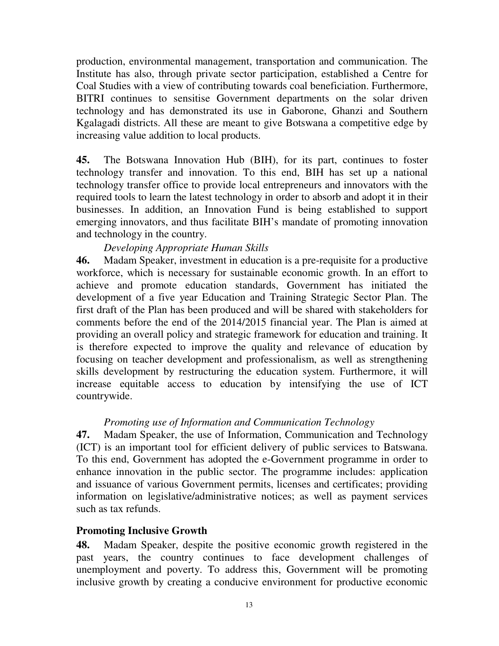production, environmental management, transportation and communication. The Institute has also, through private sector participation, established a Centre for Coal Studies with a view of contributing towards coal beneficiation. Furthermore, BITRI continues to sensitise Government departments on the solar driven technology and has demonstrated its use in Gaborone, Ghanzi and Southern Kgalagadi districts. All these are meant to give Botswana a competitive edge by increasing value addition to local products.

**45.** The Botswana Innovation Hub (BIH), for its part, continues to foster technology transfer and innovation. To this end, BIH has set up a national technology transfer office to provide local entrepreneurs and innovators with the required tools to learn the latest technology in order to absorb and adopt it in their businesses. In addition, an Innovation Fund is being established to support emerging innovators, and thus facilitate BIH's mandate of promoting innovation and technology in the country.

### *Developing Appropriate Human Skills*

**46.** Madam Speaker, investment in education is a pre-requisite for a productive workforce, which is necessary for sustainable economic growth. In an effort to achieve and promote education standards, Government has initiated the development of a five year Education and Training Strategic Sector Plan. The first draft of the Plan has been produced and will be shared with stakeholders for comments before the end of the 2014/2015 financial year. The Plan is aimed at providing an overall policy and strategic framework for education and training. It is therefore expected to improve the quality and relevance of education by focusing on teacher development and professionalism, as well as strengthening skills development by restructuring the education system. Furthermore, it will increase equitable access to education by intensifying the use of ICT countrywide.

#### *Promoting use of Information and Communication Technology*

**47.** Madam Speaker, the use of Information, Communication and Technology (ICT) is an important tool for efficient delivery of public services to Batswana. To this end, Government has adopted the e-Government programme in order to enhance innovation in the public sector. The programme includes: application and issuance of various Government permits, licenses and certificates; providing information on legislative/administrative notices; as well as payment services such as tax refunds.

#### **Promoting Inclusive Growth**

**48.** Madam Speaker, despite the positive economic growth registered in the past years, the country continues to face development challenges of unemployment and poverty. To address this, Government will be promoting inclusive growth by creating a conducive environment for productive economic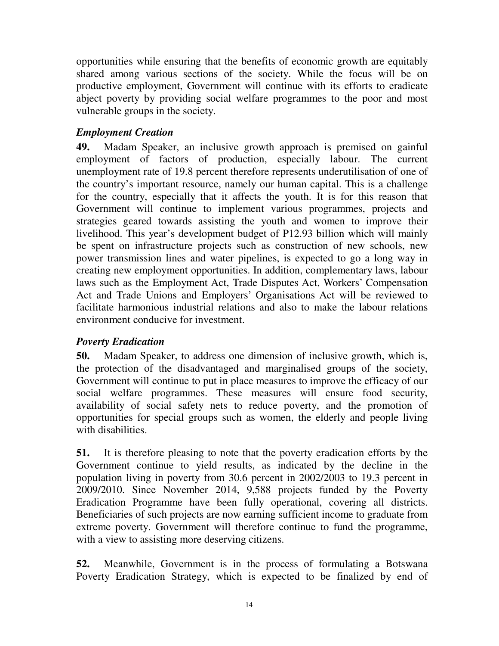opportunities while ensuring that the benefits of economic growth are equitably shared among various sections of the society. While the focus will be on productive employment, Government will continue with its efforts to eradicate abject poverty by providing social welfare programmes to the poor and most vulnerable groups in the society.

## *Employment Creation*

**49.** Madam Speaker, an inclusive growth approach is premised on gainful employment of factors of production, especially labour. The current unemployment rate of 19.8 percent therefore represents underutilisation of one of the country's important resource, namely our human capital. This is a challenge for the country, especially that it affects the youth. It is for this reason that Government will continue to implement various programmes, projects and strategies geared towards assisting the youth and women to improve their livelihood. This year's development budget of P12.93 billion which will mainly be spent on infrastructure projects such as construction of new schools, new power transmission lines and water pipelines, is expected to go a long way in creating new employment opportunities. In addition, complementary laws, labour laws such as the Employment Act, Trade Disputes Act, Workers' Compensation Act and Trade Unions and Employers' Organisations Act will be reviewed to facilitate harmonious industrial relations and also to make the labour relations environment conducive for investment.

#### *Poverty Eradication*

**50.** Madam Speaker, to address one dimension of inclusive growth, which is, the protection of the disadvantaged and marginalised groups of the society, Government will continue to put in place measures to improve the efficacy of our social welfare programmes. These measures will ensure food security, availability of social safety nets to reduce poverty, and the promotion of opportunities for special groups such as women, the elderly and people living with disabilities.

**51.** It is therefore pleasing to note that the poverty eradication efforts by the Government continue to yield results, as indicated by the decline in the population living in poverty from 30.6 percent in 2002/2003 to 19.3 percent in 2009/2010. Since November 2014, 9,588 projects funded by the Poverty Eradication Programme have been fully operational, covering all districts. Beneficiaries of such projects are now earning sufficient income to graduate from extreme poverty. Government will therefore continue to fund the programme, with a view to assisting more deserving citizens.

**52.** Meanwhile, Government is in the process of formulating a Botswana Poverty Eradication Strategy, which is expected to be finalized by end of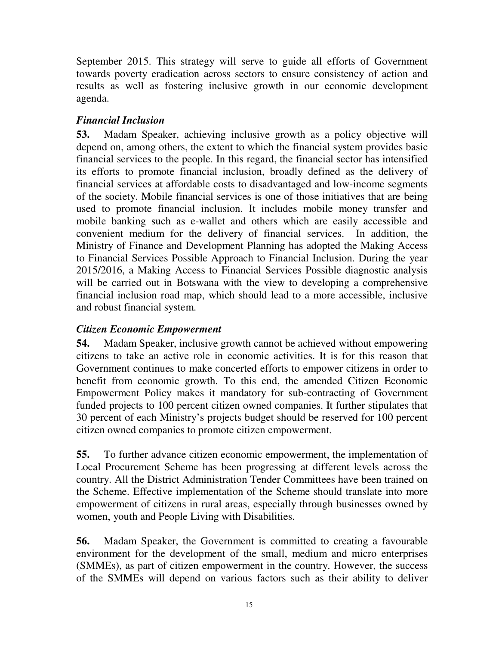September 2015. This strategy will serve to guide all efforts of Government towards poverty eradication across sectors to ensure consistency of action and results as well as fostering inclusive growth in our economic development agenda.

## *Financial Inclusion*

**53.** Madam Speaker, achieving inclusive growth as a policy objective will depend on, among others, the extent to which the financial system provides basic financial services to the people. In this regard, the financial sector has intensified its efforts to promote financial inclusion, broadly defined as the delivery of financial services at affordable costs to disadvantaged and low-income segments of the society. Mobile financial services is one of those initiatives that are being used to promote financial inclusion. It includes mobile money transfer and mobile banking such as e-wallet and others which are easily accessible and convenient medium for the delivery of financial services. In addition, the Ministry of Finance and Development Planning has adopted the Making Access to Financial Services Possible Approach to Financial Inclusion. During the year 2015/2016, a Making Access to Financial Services Possible diagnostic analysis will be carried out in Botswana with the view to developing a comprehensive financial inclusion road map, which should lead to a more accessible, inclusive and robust financial system.

## *Citizen Economic Empowerment*

**54.** Madam Speaker, inclusive growth cannot be achieved without empowering citizens to take an active role in economic activities. It is for this reason that Government continues to make concerted efforts to empower citizens in order to benefit from economic growth. To this end, the amended Citizen Economic Empowerment Policy makes it mandatory for sub-contracting of Government funded projects to 100 percent citizen owned companies. It further stipulates that 30 percent of each Ministry's projects budget should be reserved for 100 percent citizen owned companies to promote citizen empowerment.

**55.** To further advance citizen economic empowerment, the implementation of Local Procurement Scheme has been progressing at different levels across the country. All the District Administration Tender Committees have been trained on the Scheme. Effective implementation of the Scheme should translate into more empowerment of citizens in rural areas, especially through businesses owned by women, youth and People Living with Disabilities.

**56.** Madam Speaker, the Government is committed to creating a favourable environment for the development of the small, medium and micro enterprises (SMMEs), as part of citizen empowerment in the country. However, the success of the SMMEs will depend on various factors such as their ability to deliver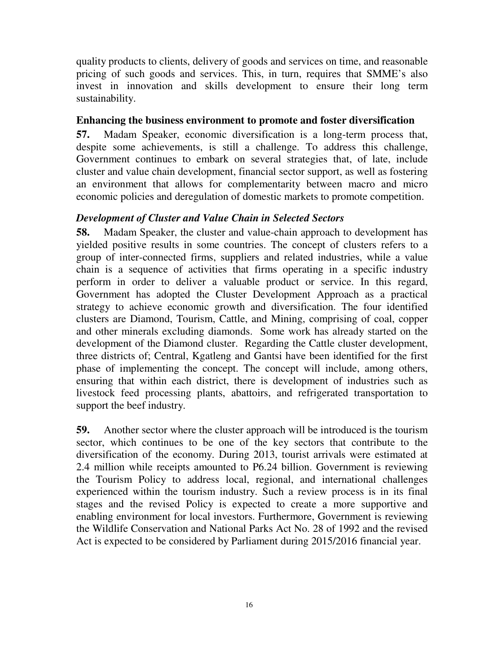quality products to clients, delivery of goods and services on time, and reasonable pricing of such goods and services. This, in turn, requires that SMME's also invest in innovation and skills development to ensure their long term sustainability.

#### **Enhancing the business environment to promote and foster diversification**

**57.** Madam Speaker, economic diversification is a long-term process that, despite some achievements, is still a challenge. To address this challenge, Government continues to embark on several strategies that, of late, include cluster and value chain development, financial sector support, as well as fostering an environment that allows for complementarity between macro and micro economic policies and deregulation of domestic markets to promote competition.

### *Development of Cluster and Value Chain in Selected Sectors*

**58.** Madam Speaker, the cluster and value-chain approach to development has yielded positive results in some countries. The concept of clusters refers to a group of inter-connected firms, suppliers and related industries, while a value chain is a sequence of activities that firms operating in a specific industry perform in order to deliver a valuable product or service. In this regard, Government has adopted the Cluster Development Approach as a practical strategy to achieve economic growth and diversification. The four identified clusters are Diamond, Tourism, Cattle, and Mining, comprising of coal, copper and other minerals excluding diamonds. Some work has already started on the development of the Diamond cluster. Regarding the Cattle cluster development, three districts of; Central, Kgatleng and Gantsi have been identified for the first phase of implementing the concept. The concept will include, among others, ensuring that within each district, there is development of industries such as livestock feed processing plants, abattoirs, and refrigerated transportation to support the beef industry.

**59.** Another sector where the cluster approach will be introduced is the tourism sector, which continues to be one of the key sectors that contribute to the diversification of the economy. During 2013, tourist arrivals were estimated at 2.4 million while receipts amounted to P6.24 billion. Government is reviewing the Tourism Policy to address local, regional, and international challenges experienced within the tourism industry. Such a review process is in its final stages and the revised Policy is expected to create a more supportive and enabling environment for local investors. Furthermore, Government is reviewing the Wildlife Conservation and National Parks Act No. 28 of 1992 and the revised Act is expected to be considered by Parliament during 2015/2016 financial year.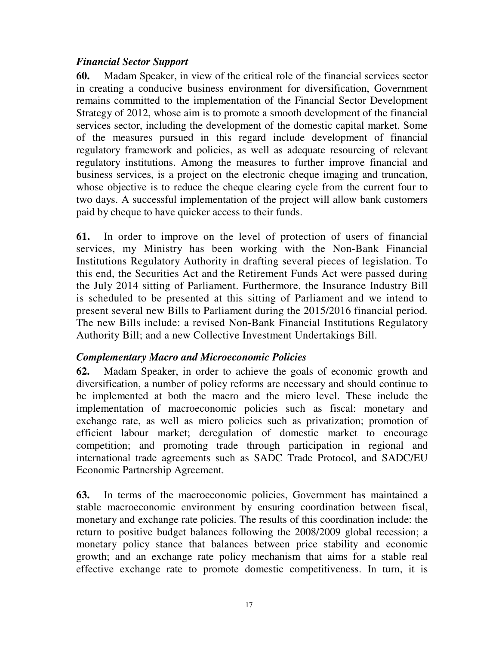### *Financial Sector Support*

**60.** Madam Speaker, in view of the critical role of the financial services sector in creating a conducive business environment for diversification, Government remains committed to the implementation of the Financial Sector Development Strategy of 2012, whose aim is to promote a smooth development of the financial services sector, including the development of the domestic capital market. Some of the measures pursued in this regard include development of financial regulatory framework and policies, as well as adequate resourcing of relevant regulatory institutions. Among the measures to further improve financial and business services, is a project on the electronic cheque imaging and truncation, whose objective is to reduce the cheque clearing cycle from the current four to two days. A successful implementation of the project will allow bank customers paid by cheque to have quicker access to their funds.

**61.** In order to improve on the level of protection of users of financial services, my Ministry has been working with the Non-Bank Financial Institutions Regulatory Authority in drafting several pieces of legislation. To this end, the Securities Act and the Retirement Funds Act were passed during the July 2014 sitting of Parliament. Furthermore, the Insurance Industry Bill is scheduled to be presented at this sitting of Parliament and we intend to present several new Bills to Parliament during the 2015/2016 financial period. The new Bills include: a revised Non-Bank Financial Institutions Regulatory Authority Bill; and a new Collective Investment Undertakings Bill.

#### *Complementary Macro and Microeconomic Policies*

**62.** Madam Speaker, in order to achieve the goals of economic growth and diversification, a number of policy reforms are necessary and should continue to be implemented at both the macro and the micro level. These include the implementation of macroeconomic policies such as fiscal: monetary and exchange rate, as well as micro policies such as privatization; promotion of efficient labour market; deregulation of domestic market to encourage competition; and promoting trade through participation in regional and international trade agreements such as SADC Trade Protocol, and SADC/EU Economic Partnership Agreement.

**63.** In terms of the macroeconomic policies, Government has maintained a stable macroeconomic environment by ensuring coordination between fiscal, monetary and exchange rate policies. The results of this coordination include: the return to positive budget balances following the 2008/2009 global recession; a monetary policy stance that balances between price stability and economic growth; and an exchange rate policy mechanism that aims for a stable real effective exchange rate to promote domestic competitiveness. In turn, it is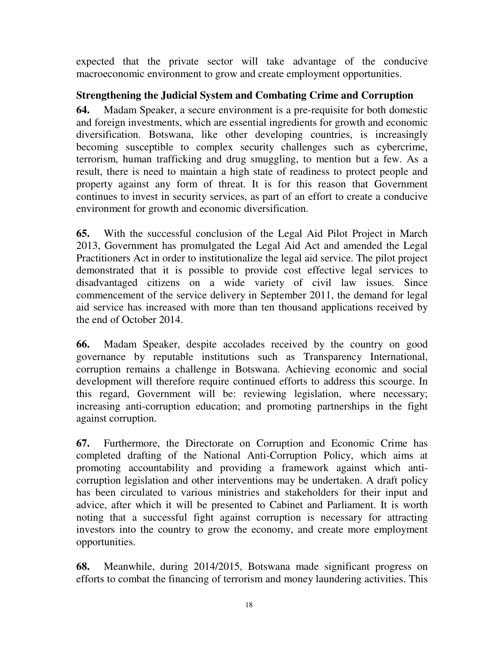expected that the private sector will take advantage of the conducive macroeconomic environment to grow and create employment opportunities.

# **Strengthening the Judicial System and Combating Crime and Corruption**

**64.** Madam Speaker, a secure environment is a pre-requisite for both domestic and foreign investments, which are essential ingredients for growth and economic diversification. Botswana, like other developing countries, is increasingly becoming susceptible to complex security challenges such as cybercrime, terrorism, human trafficking and drug smuggling, to mention but a few. As a result, there is need to maintain a high state of readiness to protect people and property against any form of threat. It is for this reason that Government continues to invest in security services, as part of an effort to create a conducive environment for growth and economic diversification.

**65.** With the successful conclusion of the Legal Aid Pilot Project in March 2013, Government has promulgated the Legal Aid Act and amended the Legal Practitioners Act in order to institutionalize the legal aid service. The pilot project demonstrated that it is possible to provide cost effective legal services to disadvantaged citizens on a wide variety of civil law issues. Since commencement of the service delivery in September 2011, the demand for legal aid service has increased with more than ten thousand applications received by the end of October 2014.

**66.** Madam Speaker, despite accolades received by the country on good governance by reputable institutions such as Transparency International, corruption remains a challenge in Botswana. Achieving economic and social development will therefore require continued efforts to address this scourge. In this regard, Government will be: reviewing legislation, where necessary; increasing anti-corruption education; and promoting partnerships in the fight against corruption.

**67.** Furthermore, the Directorate on Corruption and Economic Crime has completed drafting of the National Anti-Corruption Policy, which aims at promoting accountability and providing a framework against which anticorruption legislation and other interventions may be undertaken. A draft policy has been circulated to various ministries and stakeholders for their input and advice, after which it will be presented to Cabinet and Parliament. It is worth noting that a successful fight against corruption is necessary for attracting investors into the country to grow the economy, and create more employment opportunities.

**68.** Meanwhile, during 2014/2015, Botswana made significant progress on efforts to combat the financing of terrorism and money laundering activities. This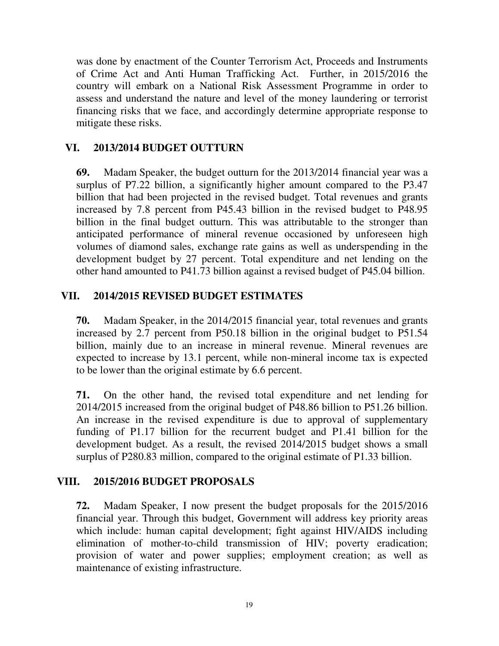was done by enactment of the Counter Terrorism Act, Proceeds and Instruments of Crime Act and Anti Human Trafficking Act. Further, in 2015/2016 the country will embark on a National Risk Assessment Programme in order to assess and understand the nature and level of the money laundering or terrorist financing risks that we face, and accordingly determine appropriate response to mitigate these risks.

### **VI. 2013/2014 BUDGET OUTTURN**

**69.** Madam Speaker, the budget outturn for the 2013/2014 financial year was a surplus of P7.22 billion, a significantly higher amount compared to the P3.47 billion that had been projected in the revised budget. Total revenues and grants increased by 7.8 percent from P45.43 billion in the revised budget to P48.95 billion in the final budget outturn. This was attributable to the stronger than anticipated performance of mineral revenue occasioned by unforeseen high volumes of diamond sales, exchange rate gains as well as underspending in the development budget by 27 percent. Total expenditure and net lending on the other hand amounted to P41.73 billion against a revised budget of P45.04 billion.

### **VII. 2014/2015 REVISED BUDGET ESTIMATES**

**70.** Madam Speaker, in the 2014/2015 financial year, total revenues and grants increased by 2.7 percent from P50.18 billion in the original budget to P51.54 billion, mainly due to an increase in mineral revenue. Mineral revenues are expected to increase by 13.1 percent, while non-mineral income tax is expected to be lower than the original estimate by 6.6 percent.

**71.** On the other hand, the revised total expenditure and net lending for 2014/2015 increased from the original budget of P48.86 billion to P51.26 billion. An increase in the revised expenditure is due to approval of supplementary funding of P1.17 billion for the recurrent budget and P1.41 billion for the development budget. As a result, the revised 2014/2015 budget shows a small surplus of P280.83 million, compared to the original estimate of P1.33 billion.

## **VIII. 2015/2016 BUDGET PROPOSALS**

**72.** Madam Speaker, I now present the budget proposals for the 2015/2016 financial year. Through this budget, Government will address key priority areas which include: human capital development; fight against HIV/AIDS including elimination of mother-to-child transmission of HIV; poverty eradication; provision of water and power supplies; employment creation; as well as maintenance of existing infrastructure.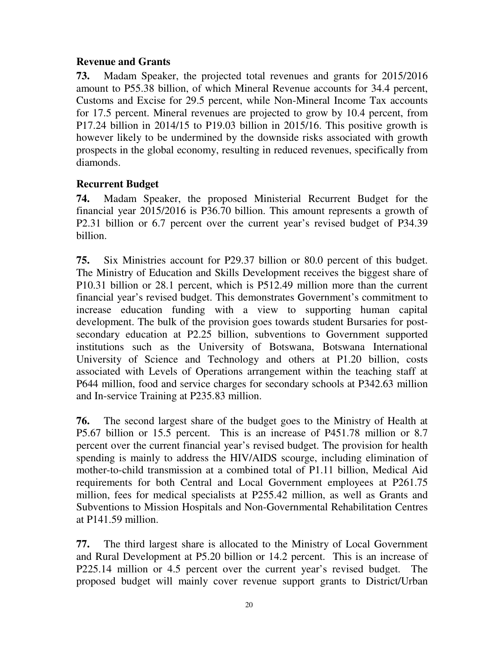#### **Revenue and Grants**

**73.** Madam Speaker, the projected total revenues and grants for 2015/2016 amount to P55.38 billion, of which Mineral Revenue accounts for 34.4 percent, Customs and Excise for 29.5 percent, while Non-Mineral Income Tax accounts for 17.5 percent. Mineral revenues are projected to grow by 10.4 percent, from P17.24 billion in 2014/15 to P19.03 billion in 2015/16. This positive growth is however likely to be undermined by the downside risks associated with growth prospects in the global economy, resulting in reduced revenues, specifically from diamonds.

#### **Recurrent Budget**

**74.** Madam Speaker, the proposed Ministerial Recurrent Budget for the financial year 2015/2016 is P36.70 billion. This amount represents a growth of P2.31 billion or 6.7 percent over the current year's revised budget of P34.39 billion.

**75.** Six Ministries account for P29.37 billion or 80.0 percent of this budget. The Ministry of Education and Skills Development receives the biggest share of P10.31 billion or 28.1 percent, which is P512.49 million more than the current financial year's revised budget. This demonstrates Government's commitment to increase education funding with a view to supporting human capital development. The bulk of the provision goes towards student Bursaries for postsecondary education at P2.25 billion, subventions to Government supported institutions such as the University of Botswana, Botswana International University of Science and Technology and others at P1.20 billion, costs associated with Levels of Operations arrangement within the teaching staff at P644 million, food and service charges for secondary schools at P342.63 million and In-service Training at P235.83 million.

**76.** The second largest share of the budget goes to the Ministry of Health at P5.67 billion or 15.5 percent. This is an increase of P451.78 million or 8.7 percent over the current financial year's revised budget. The provision for health spending is mainly to address the HIV/AIDS scourge, including elimination of mother-to-child transmission at a combined total of P1.11 billion, Medical Aid requirements for both Central and Local Government employees at P261.75 million, fees for medical specialists at P255.42 million, as well as Grants and Subventions to Mission Hospitals and Non-Governmental Rehabilitation Centres at P141.59 million.

**77.** The third largest share is allocated to the Ministry of Local Government and Rural Development at P5.20 billion or 14.2 percent. This is an increase of P225.14 million or 4.5 percent over the current year's revised budget. The proposed budget will mainly cover revenue support grants to District/Urban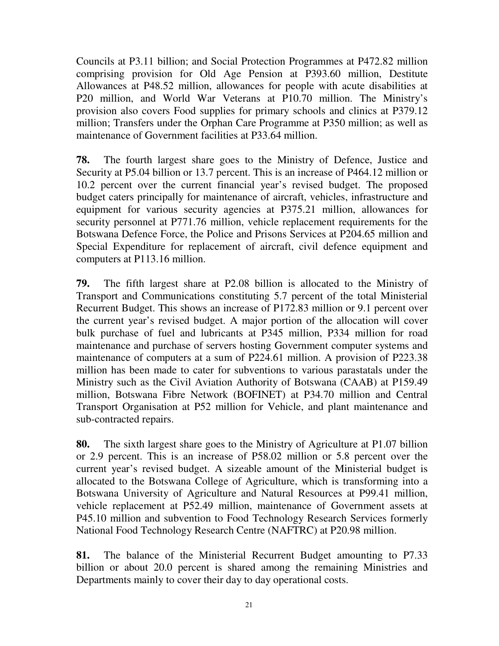Councils at P3.11 billion; and Social Protection Programmes at P472.82 million comprising provision for Old Age Pension at P393.60 million, Destitute Allowances at P48.52 million, allowances for people with acute disabilities at P20 million, and World War Veterans at P10.70 million. The Ministry's provision also covers Food supplies for primary schools and clinics at P379.12 million; Transfers under the Orphan Care Programme at P350 million; as well as maintenance of Government facilities at P33.64 million.

**78.** The fourth largest share goes to the Ministry of Defence, Justice and Security at P5.04 billion or 13.7 percent. This is an increase of P464.12 million or 10.2 percent over the current financial year's revised budget. The proposed budget caters principally for maintenance of aircraft, vehicles, infrastructure and equipment for various security agencies at P375.21 million, allowances for security personnel at P771.76 million, vehicle replacement requirements for the Botswana Defence Force, the Police and Prisons Services at P204.65 million and Special Expenditure for replacement of aircraft, civil defence equipment and computers at P113.16 million.

**79.** The fifth largest share at P2.08 billion is allocated to the Ministry of Transport and Communications constituting 5.7 percent of the total Ministerial Recurrent Budget. This shows an increase of P172.83 million or 9.1 percent over the current year's revised budget. A major portion of the allocation will cover bulk purchase of fuel and lubricants at P345 million, P334 million for road maintenance and purchase of servers hosting Government computer systems and maintenance of computers at a sum of P224.61 million. A provision of P223.38 million has been made to cater for subventions to various parastatals under the Ministry such as the Civil Aviation Authority of Botswana (CAAB) at P159.49 million, Botswana Fibre Network (BOFINET) at P34.70 million and Central Transport Organisation at P52 million for Vehicle, and plant maintenance and sub-contracted repairs.

**80.** The sixth largest share goes to the Ministry of Agriculture at P1.07 billion or 2.9 percent. This is an increase of P58.02 million or 5.8 percent over the current year's revised budget. A sizeable amount of the Ministerial budget is allocated to the Botswana College of Agriculture, which is transforming into a Botswana University of Agriculture and Natural Resources at P99.41 million, vehicle replacement at P52.49 million, maintenance of Government assets at P45.10 million and subvention to Food Technology Research Services formerly National Food Technology Research Centre (NAFTRC) at P20.98 million.

**81.** The balance of the Ministerial Recurrent Budget amounting to P7.33 billion or about 20.0 percent is shared among the remaining Ministries and Departments mainly to cover their day to day operational costs.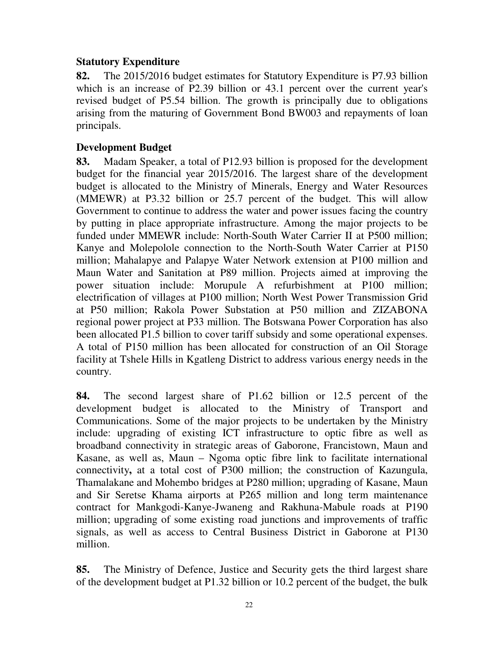## **Statutory Expenditure**

**82.** The 2015/2016 budget estimates for Statutory Expenditure is P7.93 billion which is an increase of P2.39 billion or 43.1 percent over the current year's revised budget of P5.54 billion. The growth is principally due to obligations arising from the maturing of Government Bond BW003 and repayments of loan principals.

## **Development Budget**

**83.** Madam Speaker, a total of P12.93 billion is proposed for the development budget for the financial year 2015/2016. The largest share of the development budget is allocated to the Ministry of Minerals, Energy and Water Resources (MMEWR) at P3.32 billion or 25.7 percent of the budget. This will allow Government to continue to address the water and power issues facing the country by putting in place appropriate infrastructure. Among the major projects to be funded under MMEWR include: North-South Water Carrier II at P500 million; Kanye and Molepolole connection to the North-South Water Carrier at P150 million; Mahalapye and Palapye Water Network extension at P100 million and Maun Water and Sanitation at P89 million. Projects aimed at improving the power situation include: Morupule A refurbishment at P100 million; electrification of villages at P100 million; North West Power Transmission Grid at P50 million; Rakola Power Substation at P50 million and ZIZABONA regional power project at P33 million. The Botswana Power Corporation has also been allocated P1.5 billion to cover tariff subsidy and some operational expenses. A total of P150 million has been allocated for construction of an Oil Storage facility at Tshele Hills in Kgatleng District to address various energy needs in the country.

**84.** The second largest share of P1.62 billion or 12.5 percent of the development budget is allocated to the Ministry of Transport and Communications. Some of the major projects to be undertaken by the Ministry include: upgrading of existing ICT infrastructure to optic fibre as well as broadband connectivity in strategic areas of Gaborone, Francistown, Maun and Kasane, as well as, Maun – Ngoma optic fibre link to facilitate international connectivity**,** at a total cost of P300 million; the construction of Kazungula, Thamalakane and Mohembo bridges at P280 million; upgrading of Kasane, Maun and Sir Seretse Khama airports at P265 million and long term maintenance contract for Mankgodi-Kanye-Jwaneng and Rakhuna-Mabule roads at P190 million; upgrading of some existing road junctions and improvements of traffic signals, as well as access to Central Business District in Gaborone at P130 million.

**85.** The Ministry of Defence, Justice and Security gets the third largest share of the development budget at P1.32 billion or 10.2 percent of the budget, the bulk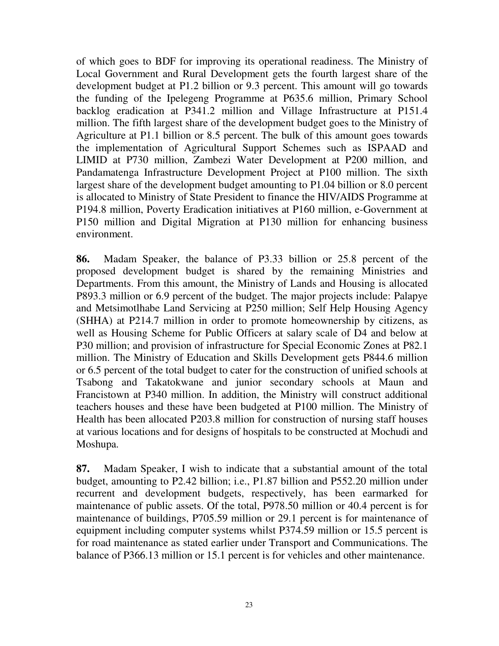of which goes to BDF for improving its operational readiness. The Ministry of Local Government and Rural Development gets the fourth largest share of the development budget at P1.2 billion or 9.3 percent. This amount will go towards the funding of the Ipelegeng Programme at P635.6 million, Primary School backlog eradication at P341.2 million and Village Infrastructure at P151.4 million. The fifth largest share of the development budget goes to the Ministry of Agriculture at P1.1 billion or 8.5 percent. The bulk of this amount goes towards the implementation of Agricultural Support Schemes such as ISPAAD and LIMID at P730 million, Zambezi Water Development at P200 million, and Pandamatenga Infrastructure Development Project at P100 million. The sixth largest share of the development budget amounting to P1.04 billion or 8.0 percent is allocated to Ministry of State President to finance the HIV/AIDS Programme at P194.8 million, Poverty Eradication initiatives at P160 million, e-Government at P150 million and Digital Migration at P130 million for enhancing business environment.

**86.** Madam Speaker, the balance of P3.33 billion or 25.8 percent of the proposed development budget is shared by the remaining Ministries and Departments. From this amount, the Ministry of Lands and Housing is allocated P893.3 million or 6.9 percent of the budget. The major projects include: Palapye and Metsimotlhabe Land Servicing at P250 million; Self Help Housing Agency (SHHA) at P214.7 million in order to promote homeownership by citizens, as well as Housing Scheme for Public Officers at salary scale of D4 and below at P30 million; and provision of infrastructure for Special Economic Zones at P82.1 million. The Ministry of Education and Skills Development gets P844.6 million or 6.5 percent of the total budget to cater for the construction of unified schools at Tsabong and Takatokwane and junior secondary schools at Maun and Francistown at P340 million. In addition, the Ministry will construct additional teachers houses and these have been budgeted at P100 million. The Ministry of Health has been allocated P203.8 million for construction of nursing staff houses at various locations and for designs of hospitals to be constructed at Mochudi and Moshupa.

**87.** Madam Speaker, I wish to indicate that a substantial amount of the total budget, amounting to P2.42 billion; i.e., P1.87 billion and P552.20 million under recurrent and development budgets, respectively, has been earmarked for maintenance of public assets. Of the total, P978.50 million or 40.4 percent is for maintenance of buildings, P705.59 million or 29.1 percent is for maintenance of equipment including computer systems whilst P374.59 million or 15.5 percent is for road maintenance as stated earlier under Transport and Communications. The balance of P366.13 million or 15.1 percent is for vehicles and other maintenance.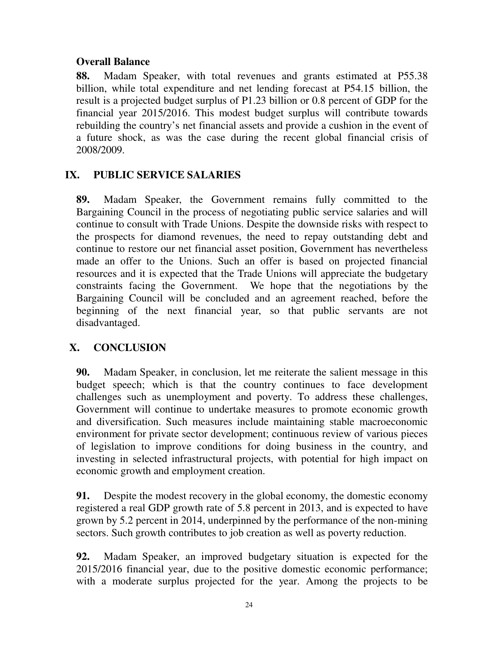## **Overall Balance**

**88.** Madam Speaker, with total revenues and grants estimated at P55.38 billion, while total expenditure and net lending forecast at P54.15 billion, the result is a projected budget surplus of P1.23 billion or 0.8 percent of GDP for the financial year 2015/2016. This modest budget surplus will contribute towards rebuilding the country's net financial assets and provide a cushion in the event of a future shock, as was the case during the recent global financial crisis of 2008/2009.

# **IX. PUBLIC SERVICE SALARIES**

**89.** Madam Speaker, the Government remains fully committed to the Bargaining Council in the process of negotiating public service salaries and will continue to consult with Trade Unions. Despite the downside risks with respect to the prospects for diamond revenues, the need to repay outstanding debt and continue to restore our net financial asset position, Government has nevertheless made an offer to the Unions. Such an offer is based on projected financial resources and it is expected that the Trade Unions will appreciate the budgetary constraints facing the Government. We hope that the negotiations by the Bargaining Council will be concluded and an agreement reached, before the beginning of the next financial year, so that public servants are not disadvantaged.

# **X. CONCLUSION**

**90.** Madam Speaker, in conclusion, let me reiterate the salient message in this budget speech; which is that the country continues to face development challenges such as unemployment and poverty. To address these challenges, Government will continue to undertake measures to promote economic growth and diversification. Such measures include maintaining stable macroeconomic environment for private sector development; continuous review of various pieces of legislation to improve conditions for doing business in the country, and investing in selected infrastructural projects, with potential for high impact on economic growth and employment creation.

**91.** Despite the modest recovery in the global economy, the domestic economy registered a real GDP growth rate of 5.8 percent in 2013, and is expected to have grown by 5.2 percent in 2014, underpinned by the performance of the non-mining sectors. Such growth contributes to job creation as well as poverty reduction.

**92.** Madam Speaker, an improved budgetary situation is expected for the 2015/2016 financial year, due to the positive domestic economic performance; with a moderate surplus projected for the year. Among the projects to be